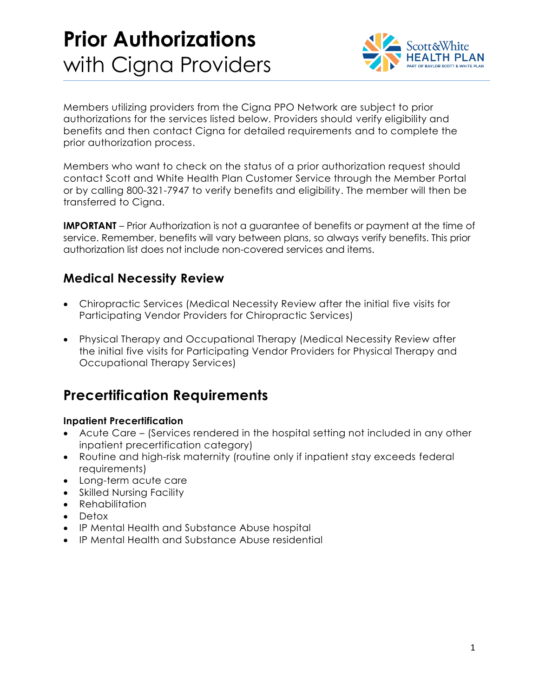# **Prior Authorizations**  with Cigna Providers



Members utilizing providers from the Cigna PPO Network are subject to prior authorizations for the services listed below. Providers should verify eligibility and benefits and then contact Cigna for detailed requirements and to complete the prior authorization process.

Members who want to check on the status of a prior authorization request should contact Scott and White Health Plan Customer Service through the Member Portal or by calling 800-321-7947 to verify benefits and eligibility. The member will then be transferred to Cigna.

**IMPORTANT** – Prior Authorization is not a guarantee of benefits or payment at the time of service. Remember, benefits will vary between plans, so always verify benefits. This prior authorization list does not include non-covered services and items.

### **Medical Necessity Review**

- Chiropractic Services (Medical Necessity Review after the initial five visits for Participating Vendor Providers for Chiropractic Services)
- Physical Therapy and Occupational Therapy (Medical Necessity Review after the initial five visits for Participating Vendor Providers for Physical Therapy and Occupational Therapy Services)

### **Precertification Requirements**

#### **Inpatient Precertification**

- Acute Care (Services rendered in the hospital setting not included in any other inpatient precertification category)
- Routine and high-risk maternity (routine only if inpatient stay exceeds federal requirements)
- Long-term acute care
- Skilled Nursing Facility
- Rehabilitation
- Detox
- IP Mental Health and Substance Abuse hospital
- IP Mental Health and Substance Abuse residential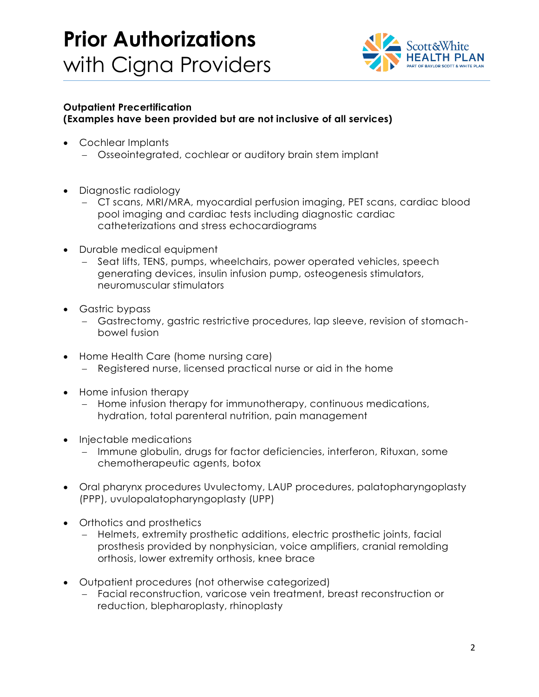### **Prior Authorizations**  with Cigna Providers



#### **Outpatient Precertification (Examples have been provided but are not inclusive of all services)**

- Cochlear Implants
	- Osseointegrated, cochlear or auditory brain stem implant
- Diagnostic radiology
	- CT scans, MRI/MRA, myocardial perfusion imaging, PET scans, cardiac blood pool imaging and cardiac tests including diagnostic cardiac catheterizations and stress echocardiograms
- Durable medical equipment
	- Seat lifts, TENS, pumps, wheelchairs, power operated vehicles, speech generating devices, insulin infusion pump, osteogenesis stimulators, neuromuscular stimulators
- Gastric bypass
	- Gastrectomy, gastric restrictive procedures, lap sleeve, revision of stomachbowel fusion
- Home Health Care (home nursing care)
	- Registered nurse, licensed practical nurse or aid in the home
- Home infusion therapy
	- Home infusion therapy for immunotherapy, continuous medications, hydration, total parenteral nutrition, pain management
- Injectable medications
	- Immune globulin, drugs for factor deficiencies, interferon, Rituxan, some chemotherapeutic agents, botox
- Oral pharynx procedures Uvulectomy, LAUP procedures, palatopharyngoplasty (PPP), uvulopalatopharyngoplasty (UPP)
- Orthotics and prosthetics
	- Helmets, extremity prosthetic additions, electric prosthetic joints, facial prosthesis provided by nonphysician, voice amplifiers, cranial remolding orthosis, lower extremity orthosis, knee brace
- Outpatient procedures (not otherwise categorized)
	- Facial reconstruction, varicose vein treatment, breast reconstruction or reduction, blepharoplasty, rhinoplasty